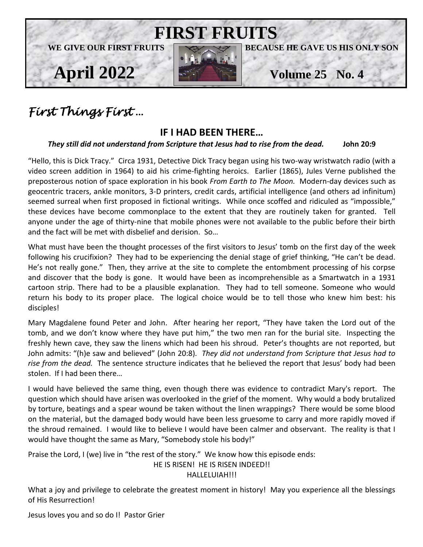

## *First Things First* …

### **IF I HAD BEEN THERE…**

#### *They still did not understand from Scripture that Jesus had to rise from the dead.* **John 20:9**

"Hello, this is Dick Tracy." Circa 1931, Detective Dick Tracy began using his two-way wristwatch radio (with a video screen addition in 1964) to aid his crime-fighting heroics. Earlier (1865), Jules Verne published the preposterous notion of space exploration in his book *From Earth to The Moon.* Modern-day devices such as geocentric tracers, ankle monitors, 3-D printers, credit cards, artificial intelligence (and others ad infinitum) seemed surreal when first proposed in fictional writings. While once scoffed and ridiculed as "impossible," these devices have become commonplace to the extent that they are routinely taken for granted. Tell anyone under the age of thirty-nine that mobile phones were not available to the public before their birth and the fact will be met with disbelief and derision. So…

What must have been the thought processes of the first visitors to Jesus' tomb on the first day of the week following his crucifixion? They had to be experiencing the denial stage of grief thinking, "He can't be dead. He's not really gone." Then, they arrive at the site to complete the entombment processing of his corpse and discover that the body is gone. It would have been as incomprehensible as a Smartwatch in a 1931 cartoon strip. There had to be a plausible explanation. They had to tell someone. Someone who would return his body to its proper place. The logical choice would be to tell those who knew him best: his disciples!

Mary Magdalene found Peter and John. After hearing her report, "They have taken the Lord out of the tomb, and we don't know where they have put him," the two men ran for the burial site. Inspecting the freshly hewn cave, they saw the linens which had been his shroud. Peter's thoughts are not reported, but John admits: "(h)e saw and believed" (John 20:8). *They did not understand from Scripture that Jesus had to rise from the dead.* The sentence structure indicates that he believed the report that Jesus' body had been stolen. If I had been there…

I would have believed the same thing, even though there was evidence to contradict Mary's report. The question which should have arisen was overlooked in the grief of the moment. Why would a body brutalized by torture, beatings and a spear wound be taken without the linen wrappings? There would be some blood on the material, but the damaged body would have been less gruesome to carry and more rapidly moved if the shroud remained. I would like to believe I would have been calmer and observant. The reality is that I would have thought the same as Mary, "Somebody stole his body!"

Praise the Lord, I (we) live in "the rest of the story." We know how this episode ends:

HE IS RISEN! HE IS RISEN INDEED!!

#### HALLELUIAH!!!

What a joy and privilege to celebrate the greatest moment in history! May you experience all the blessings of His Resurrection!

Jesus loves you and so do I! Pastor Grier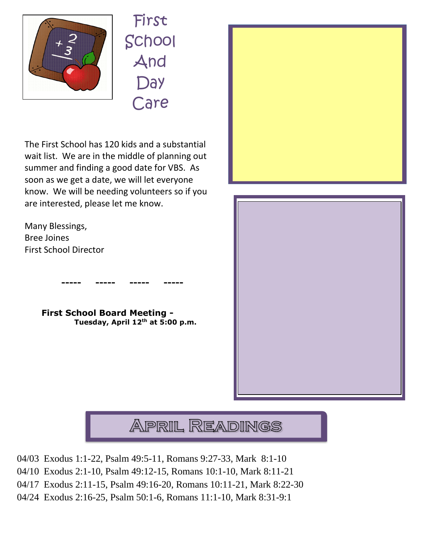

First School And **Day** Care

The First School has 120 kids and a substantial wait list. We are in the middle of planning out summer and finding a good date for VBS. As soon as we get a date, we will let everyone know. We will be needing volunteers so if you are interested, please let me know.

Many Blessings, Bree Joines First School Director



 **----- ----- ----- -----**







- 04/03 Exodus 1:1-22, Psalm 49:5-11, Romans 9:27-33, Mark 8:1-10
- 04/10 Exodus 2:1-10, Psalm 49:12-15, Romans 10:1-10, Mark 8:11-21
- 04/17 Exodus 2:11-15, Psalm 49:16-20, Romans 10:11-21, Mark 8:22-30
- 04/24 Exodus 2:16-25, Psalm 50:1-6, Romans 11:1-10, Mark 8:31-9:1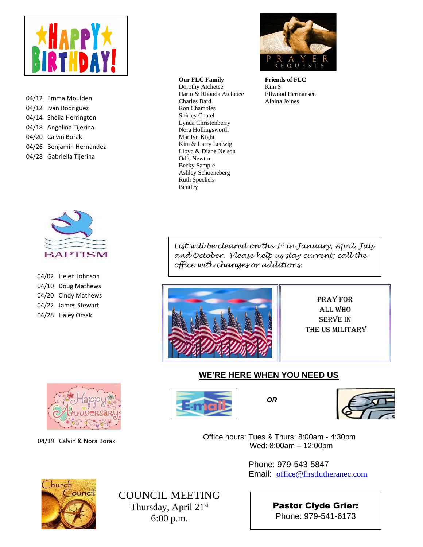

04/12 Emma Moulden 04/12 Ivan Rodriguez 04/14 Sheila Herrington 04/18 Angelina Tijerina 04/20 Calvin Borak 04/26 Benjamin Hernandez 04/28 Gabriella Tijerina



**Friends of FLC** Kim S Ellwood Hermansen Albina Joines



| 04/02 Helen Johnson |
|---------------------|
| 04/10 Doug Mathews  |
| 04/20 Cindy Mathews |
| 04/22 James Stewart |
| 04/28 Haley Orsak   |

*List will be cleared on the 1st in January, April, July and October. Please help us stay current; call the office with changes or additions.*



Lynda Christenberry

Nora Hollingsworth Marilyn Kight Kim & Larry Ledwig Lloyd & Diane Nelson Odis Newton Becky Sample Ashley Schoeneberg Ruth Speckels Bentley

**Our FLC Family** Dorothy Atchetee Harlo & Rhonda Atchetee

Charles Bard Ron Chambles Shirley Chatel

> Pray for All Who Serve in the US Military

#### **WE'RE HERE WHEN YOU NEED US**



04/19 Calvin & Nora Borak





 Office hours: Tues & Thurs: 8:00am - 4:30pm Wed: 8:00am – 12:00pm

> Phone: 979-543-5847 Email: [office@firstlutheranec.com](mailto:office@firstlutheranec.com)



COUNCIL MEETING Thursday, April 21st 6:00 p.m.

Pastor Clyde Grier: Phone: 979-541-6173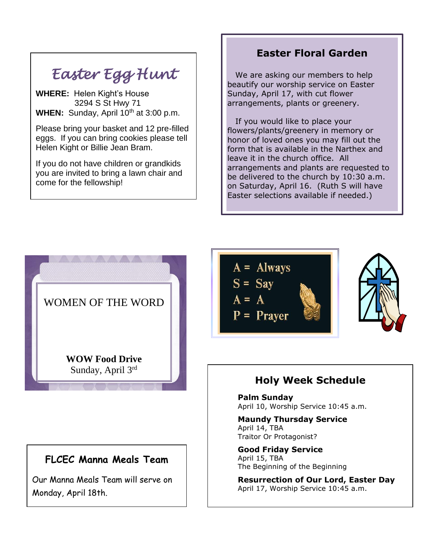# *Easter Egg Hunt*

**WHERE:** Helen Kight's House 3294 S St Hwy 71 **WHEN:** Sunday, April 10<sup>th</sup> at 3:00 p.m.

Please bring your basket and 12 pre-filled eggs. If you can bring cookies please tell Helen Kight or Billie Jean Bram.

If you do not have children or grandkids you are invited to bring a lawn chair and come for the fellowship!

 $\overline{a}$ 

## **Easter Floral Garden**

 beautify our worship service on Easter Sunday, April 17, with cut flower We are asking our members to help arrangements, plants or greenery.

 If you would like to place your flowers/plants/greenery in memory or honor of loved ones you may fill out the form that is available in the Narthex and leave it in the church office. All arrangements and plants are requested to be delivered to the church by 10:30 a.m. on Saturday, April 16. (Ruth S will have Easter selections available if needed.)



## **FLCEC Manna Meals Team**

Our Manna Meals Team will serve on Monday, April 18th.



## **Holy Week Schedule**

**Palm Sunday** April 10, Worship Service 10:45 a.m.

**Maundy Thursday Service** April 14, TBA Traitor Or Protagonist?

**Good Friday Service** April 15, TBA The Beginning of the Beginning

**Resurrection of Our Lord, Easter Day** April 17, Worship Service 10:45 a.m.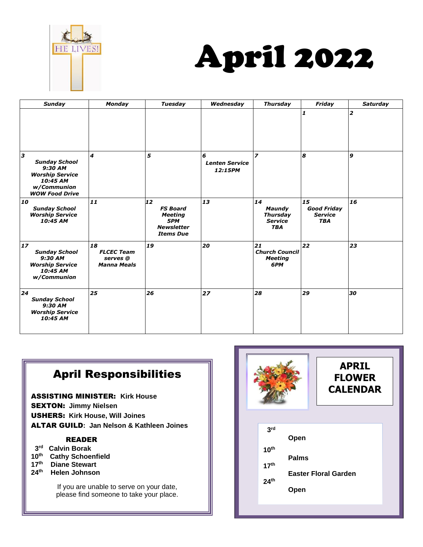



| <b>Sunday</b>                                                                                                      | <b>Monday</b>                                             | <b>Tuesday</b>                                                                          | Wednesday                             | <b>Thursday</b>                                                        | Friday                                                   | <b>Saturday</b>  |
|--------------------------------------------------------------------------------------------------------------------|-----------------------------------------------------------|-----------------------------------------------------------------------------------------|---------------------------------------|------------------------------------------------------------------------|----------------------------------------------------------|------------------|
|                                                                                                                    |                                                           |                                                                                         |                                       |                                                                        | 1                                                        | $\overline{2}$   |
| 3<br><b>Sunday School</b><br>9:30 AM<br><b>Worship Service</b><br>10:45 AM<br>w/Communion<br><b>WOW Food Drive</b> | $\overline{\boldsymbol{4}}$                               | 5                                                                                       | 6<br><b>Lenten Service</b><br>12:15PM | $\overline{\phantom{a}}$                                               | 8                                                        | $\boldsymbol{9}$ |
| 10<br><b>Sunday School</b><br><b>Worship Service</b><br>10:45 AM                                                   | 11                                                        | 12<br><b>FS Board</b><br><b>Meeting</b><br>5PM<br><b>Newsletter</b><br><b>Items Due</b> | 13                                    | 14<br><b>Maundy</b><br><b>Thursday</b><br><b>Service</b><br><b>TBA</b> | 15<br><b>Good Friday</b><br><b>Service</b><br><b>TBA</b> | 16               |
| $17$<br><b>Sunday School</b><br>9:30 AM<br><b>Worship Service</b><br>10:45 AM<br>w/Communion                       | 18<br><b>FLCEC Team</b><br>serves @<br><b>Manna Meals</b> | 19                                                                                      | 20                                    | 21<br><b>Church Council</b><br><b>Meeting</b><br>6PM                   | 22                                                       | 23               |
| 24<br><b>Sunday School</b><br>9:30 AM<br><b>Worship Service</b><br>10:45 AM                                        | 25                                                        | 26                                                                                      | 27                                    | 28                                                                     | 29                                                       | 30               |

## April Responsibilities

ASSISTING MINISTER: **Kirk House** SEXTON: **Jimmy Nielsen**  USHERS: **Kirk House, Will Joines**  ALTAR GUILD**: Jan Nelson & Kathleen Joines** 

#### READER

- **3 rd Calvin Borak**
- **10 th Cathy Schoenfield**
- **17 th Diane Stewart**
- **24 th Helen Johnson**

If you are unable to serve on your date, please find someone to take your place.